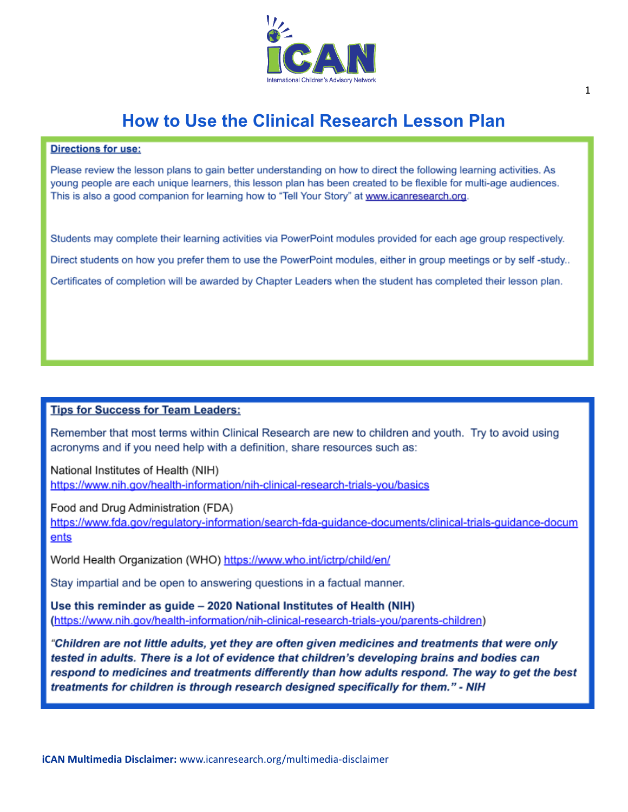

#### **How to Use the Clinical Research Lesson Plan**

#### **Directions for use:**

Please review the lesson plans to gain better understanding on how to direct the following learning activities. As young people are each unique learners, this lesson plan has been created to be flexible for multi-age audiences. This is also a good companion for learning how to "Tell Your Story" at www.icanresearch.org.

Students may complete their learning activities via PowerPoint modules provided for each age group respectively. Direct students on how you prefer them to use the PowerPoint modules, either in group meetings or by self-study.. Certificates of completion will be awarded by Chapter Leaders when the student has completed their lesson plan.

#### **Tips for Success for Team Leaders:**

Remember that most terms within Clinical Research are new to children and youth. Try to avoid using acronyms and if you need help with a definition, share resources such as:

National Institutes of Health (NIH) https://www.nih.gov/health-information/nih-clinical-research-trials-you/basics

Food and Drug Administration (FDA) https://www.fda.gov/regulatory-information/search-fda-guidance-documents/clinical-trials-guidance-docum ents

World Health Organization (WHO) https://www.who.int/ictrp/child/en/

Stay impartial and be open to answering questions in a factual manner.

Use this reminder as guide - 2020 National Institutes of Health (NIH) (https://www.nih.gov/health-information/nih-clinical-research-trials-you/parents-children)

"Children are not little adults, yet they are often given medicines and treatments that were only tested in adults. There is a lot of evidence that children's developing brains and bodies can respond to medicines and treatments differently than how adults respond. The way to get the best treatments for children is through research designed specifically for them." - NIH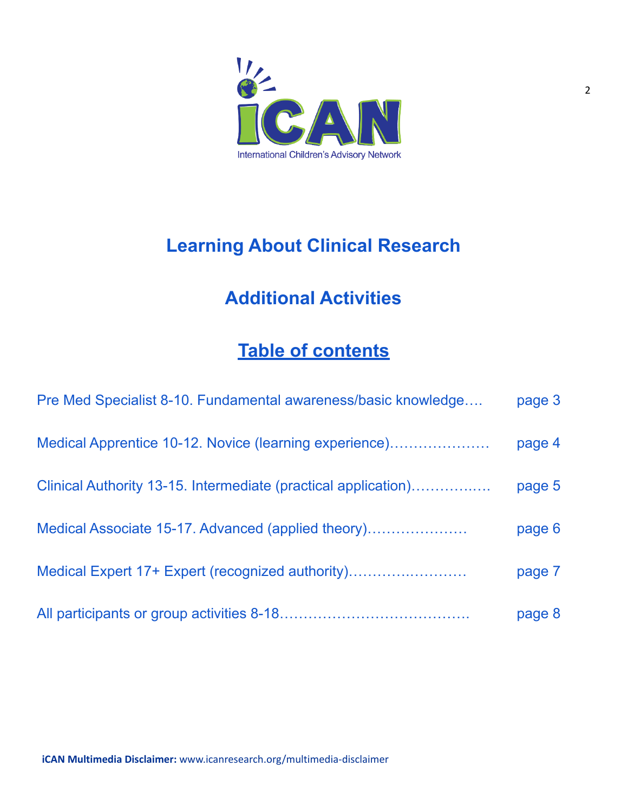

# **Learning About Clinical Research**

# **Additional Activities**

### **Table of contents**

| Pre Med Specialist 8-10. Fundamental awareness/basic knowledge | page 3 |
|----------------------------------------------------------------|--------|
| Medical Apprentice 10-12. Novice (learning experience)         | page 4 |
| Clinical Authority 13-15. Intermediate (practical application) | page 5 |
|                                                                | page 6 |
| Medical Expert 17+ Expert (recognized authority)               | page 7 |
|                                                                | page 8 |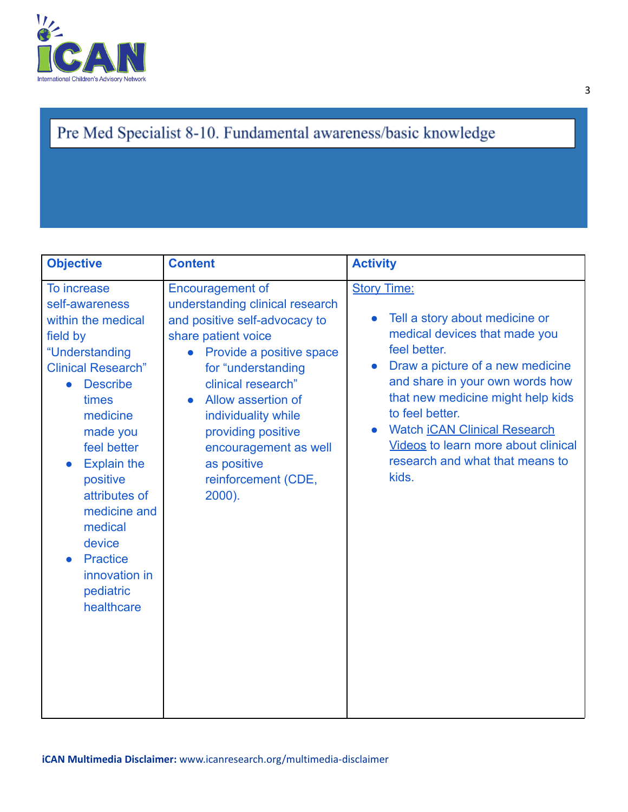

### Pre Med Specialist 8-10. Fundamental awareness/basic knowledge

| <b>Objective</b>                                                                                                                                                                                                                                                                                                                                                   | <b>Content</b>                                                                                                                                                                                                                                                                                                                                                   | <b>Activity</b>                                                                                                                                                                                                                                                                                                                                                                                 |
|--------------------------------------------------------------------------------------------------------------------------------------------------------------------------------------------------------------------------------------------------------------------------------------------------------------------------------------------------------------------|------------------------------------------------------------------------------------------------------------------------------------------------------------------------------------------------------------------------------------------------------------------------------------------------------------------------------------------------------------------|-------------------------------------------------------------------------------------------------------------------------------------------------------------------------------------------------------------------------------------------------------------------------------------------------------------------------------------------------------------------------------------------------|
| To increase<br>self-awareness<br>within the medical<br>field by<br>"Understanding<br><b>Clinical Research"</b><br><b>Describe</b><br>$\bullet$<br>times<br>medicine<br>made you<br>feel better<br><b>Explain the</b><br>positive<br>attributes of<br>medicine and<br>medical<br>device<br><b>Practice</b><br>$\bullet$<br>innovation in<br>pediatric<br>healthcare | <b>Encouragement of</b><br>understanding clinical research<br>and positive self-advocacy to<br>share patient voice<br>Provide a positive space<br>$\bullet$<br>for "understanding<br>clinical research"<br>Allow assertion of<br>$\bullet$<br>individuality while<br>providing positive<br>encouragement as well<br>as positive<br>reinforcement (CDE,<br>2000). | <b>Story Time:</b><br>Tell a story about medicine or<br>$\bullet$<br>medical devices that made you<br>feel better.<br>Draw a picture of a new medicine<br>$\bullet$<br>and share in your own words how<br>that new medicine might help kids<br>to feel better.<br><b>Watch iCAN Clinical Research</b><br><b>Videos to learn more about clinical</b><br>research and what that means to<br>kids. |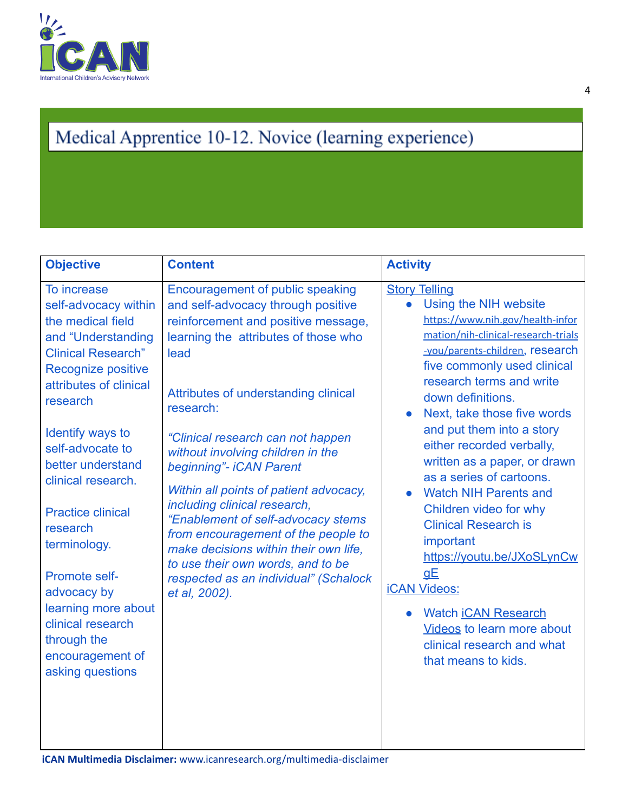

# Medical Apprentice 10-12. Novice (learning experience)

| <b>Objective</b>                                                                                                                                                                                                                                                                                                                                                                                                                                      | <b>Content</b>                                                                                                                                                                                                                                                                                                                                                                                                                                                                                                                                                                                                         | <b>Activity</b>                                                                                                                                                                                                                                                                                                                                                                                                                                                                                                                                                                                                                                                                                                                  |
|-------------------------------------------------------------------------------------------------------------------------------------------------------------------------------------------------------------------------------------------------------------------------------------------------------------------------------------------------------------------------------------------------------------------------------------------------------|------------------------------------------------------------------------------------------------------------------------------------------------------------------------------------------------------------------------------------------------------------------------------------------------------------------------------------------------------------------------------------------------------------------------------------------------------------------------------------------------------------------------------------------------------------------------------------------------------------------------|----------------------------------------------------------------------------------------------------------------------------------------------------------------------------------------------------------------------------------------------------------------------------------------------------------------------------------------------------------------------------------------------------------------------------------------------------------------------------------------------------------------------------------------------------------------------------------------------------------------------------------------------------------------------------------------------------------------------------------|
| To increase<br>self-advocacy within<br>the medical field<br>and "Understanding<br><b>Clinical Research"</b><br>Recognize positive<br>attributes of clinical<br>research<br>Identify ways to<br>self-advocate to<br>better understand<br>clinical research.<br><b>Practice clinical</b><br>research<br>terminology.<br>Promote self-<br>advocacy by<br>learning more about<br>clinical research<br>through the<br>encouragement of<br>asking questions | Encouragement of public speaking<br>and self-advocacy through positive<br>reinforcement and positive message,<br>learning the attributes of those who<br>lead<br>Attributes of understanding clinical<br>research:<br>"Clinical research can not happen<br>without involving children in the<br>beginning"- iCAN Parent<br>Within all points of patient advocacy,<br>including clinical research,<br>"Enablement of self-advocacy stems<br>from encouragement of the people to<br>make decisions within their own life,<br>to use their own words, and to be<br>respected as an individual" (Schalock<br>et al, 2002). | <b>Story Telling</b><br>Using the NIH website<br>$\bullet$<br>https://www.nih.gov/health-infor<br>mation/nih-clinical-research-trials<br>-you/parents-children, research<br>five commonly used clinical<br>research terms and write<br>down definitions.<br>Next, take those five words<br>$\bullet$<br>and put them into a story<br>either recorded verbally,<br>written as a paper, or drawn<br>as a series of cartoons.<br><b>Watch NIH Parents and</b><br>$\bullet$<br>Children video for why<br><b>Clinical Research is</b><br>important<br>https://youtu.be/JXoSLynCw<br>gE<br><b>iCAN Videos:</b><br><b>Watch iCAN Research</b><br><b>Videos to learn more about</b><br>clinical research and what<br>that means to kids. |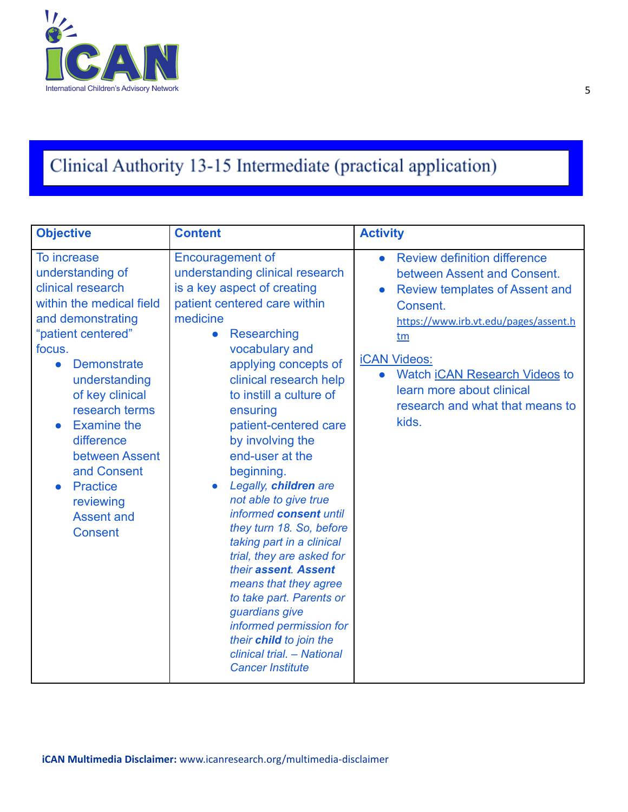

# Clinical Authority 13-15 Intermediate (practical application)

| <b>Objective</b>                                                                                                                                                                                                                                                                                                                                                                                     | <b>Content</b>                                                                                                                                                                                                                                                                                                                                                                                                                                                                                                                                                                                                                                                                                                                             | <b>Activity</b>                                                                                                                                                                                                                                                                                                                                       |
|------------------------------------------------------------------------------------------------------------------------------------------------------------------------------------------------------------------------------------------------------------------------------------------------------------------------------------------------------------------------------------------------------|--------------------------------------------------------------------------------------------------------------------------------------------------------------------------------------------------------------------------------------------------------------------------------------------------------------------------------------------------------------------------------------------------------------------------------------------------------------------------------------------------------------------------------------------------------------------------------------------------------------------------------------------------------------------------------------------------------------------------------------------|-------------------------------------------------------------------------------------------------------------------------------------------------------------------------------------------------------------------------------------------------------------------------------------------------------------------------------------------------------|
| To increase<br>understanding of<br>clinical research<br>within the medical field<br>and demonstrating<br>"patient centered"<br>focus.<br><b>Demonstrate</b><br>$\bullet$<br>understanding<br>of key clinical<br>research terms<br><b>Examine the</b><br>$\bullet$<br>difference<br>between Assent<br>and Consent<br><b>Practice</b><br>$\bullet$<br>reviewing<br><b>Assent and</b><br><b>Consent</b> | <b>Encouragement of</b><br>understanding clinical research<br>is a key aspect of creating<br>patient centered care within<br>medicine<br>Researching<br>$\bullet$<br>vocabulary and<br>applying concepts of<br>clinical research help<br>to instill a culture of<br>ensuring<br>patient-centered care<br>by involving the<br>end-user at the<br>beginning.<br>Legally, children are<br>not able to give true<br>informed consent until<br>they turn 18. So, before<br>taking part in a clinical<br>trial, they are asked for<br>their assent. Assent<br>means that they agree<br>to take part. Parents or<br>guardians give<br>informed permission for<br>their child to join the<br>clinical trial. - National<br><b>Cancer Institute</b> | <b>Review definition difference</b><br>$\bullet$<br>between Assent and Consent.<br><b>Review templates of Assent and</b><br>$\bullet$<br>Consent.<br>https://www.irb.vt.edu/pages/assent.h<br>tm<br><b>iCAN Videos:</b><br><b>Watch iCAN Research Videos to</b><br>$\bullet$<br>learn more about clinical<br>research and what that means to<br>kids. |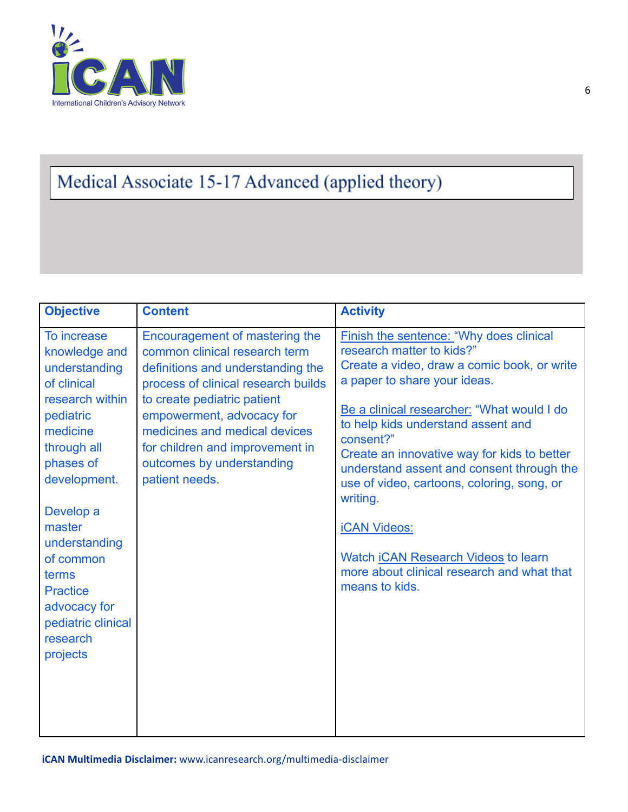

## Medical Associate 15-17 Advanced (applied theory)

| <b>Objective</b>                                                                                                                                                                                                                                                                                    | <b>Content</b>                                                                                                                                                                                                                                                                                                             | <b>Activity</b>                                                                                                                                                                                                                                                                                                                                                                                                                                                                                                                                       |
|-----------------------------------------------------------------------------------------------------------------------------------------------------------------------------------------------------------------------------------------------------------------------------------------------------|----------------------------------------------------------------------------------------------------------------------------------------------------------------------------------------------------------------------------------------------------------------------------------------------------------------------------|-------------------------------------------------------------------------------------------------------------------------------------------------------------------------------------------------------------------------------------------------------------------------------------------------------------------------------------------------------------------------------------------------------------------------------------------------------------------------------------------------------------------------------------------------------|
| To increase<br>knowledge and<br>understanding<br>of clinical<br>research within<br>pediatric<br>medicine<br>through all<br>phases of<br>development.<br>Develop a<br>master<br>understanding<br>of common<br>terms<br><b>Practice</b><br>advocacy for<br>pediatric clinical<br>research<br>projects | Encouragement of mastering the<br>common clinical research term<br>definitions and understanding the<br>process of clinical research builds<br>to create pediatric patient<br>empowerment, advocacy for<br>medicines and medical devices<br>for children and improvement in<br>outcomes by understanding<br>patient needs. | Finish the sentence: "Why does clinical<br>research matter to kids?"<br>Create a video, draw a comic book, or write<br>a paper to share your ideas.<br>Be a clinical researcher: "What would I do<br>to help kids understand assent and<br>consent?"<br>Create an innovative way for kids to better<br>understand assent and consent through the<br>use of video, cartoons, coloring, song, or<br>writing.<br><b>iCAN Videos:</b><br>Watch <i><b>CAN Research Videos</b></i> to learn<br>more about clinical research and what that<br>means to kids. |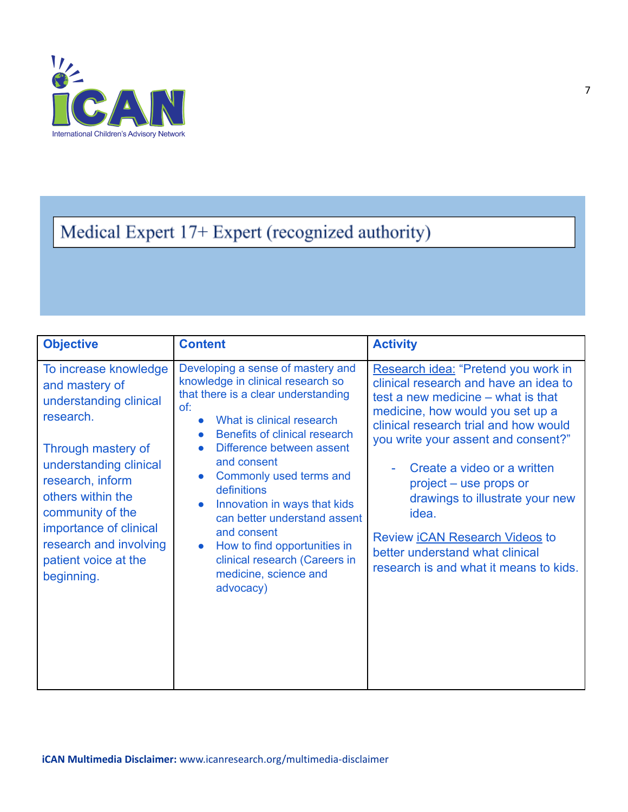

# Medical Expert 17+ Expert (recognized authority)

| <b>Objective</b>                                                                                                                                                                                                                                                                      | <b>Content</b>                                                                                                                                                                                                                                                                                                                                                                                                                                                                                                     | <b>Activity</b>                                                                                                                                                                                                                                                                                                                                                                                                                                                          |
|---------------------------------------------------------------------------------------------------------------------------------------------------------------------------------------------------------------------------------------------------------------------------------------|--------------------------------------------------------------------------------------------------------------------------------------------------------------------------------------------------------------------------------------------------------------------------------------------------------------------------------------------------------------------------------------------------------------------------------------------------------------------------------------------------------------------|--------------------------------------------------------------------------------------------------------------------------------------------------------------------------------------------------------------------------------------------------------------------------------------------------------------------------------------------------------------------------------------------------------------------------------------------------------------------------|
| To increase knowledge<br>and mastery of<br>understanding clinical<br>research.<br>Through mastery of<br>understanding clinical<br>research, inform<br>others within the<br>community of the<br>importance of clinical<br>research and involving<br>patient voice at the<br>beginning. | Developing a sense of mastery and<br>knowledge in clinical research so<br>that there is a clear understanding<br>of:<br>What is clinical research<br>$\bullet$<br>Benefits of clinical research<br>Difference between assent<br>and consent<br>Commonly used terms and<br>$\bullet$<br>definitions<br>Innovation in ways that kids<br>$\bullet$<br>can better understand assent<br>and consent<br>How to find opportunities in<br>$\bullet$<br>clinical research (Careers in<br>medicine, science and<br>advocacy) | Research idea: "Pretend you work in<br>clinical research and have an idea to<br>test a new medicine – what is that<br>medicine, how would you set up a<br>clinical research trial and how would<br>you write your assent and consent?"<br>Create a video or a written<br>project – use props or<br>drawings to illustrate your new<br>idea.<br>Review <i><b>ICAN Research Videos</b></i> to<br>better understand what clinical<br>research is and what it means to kids. |